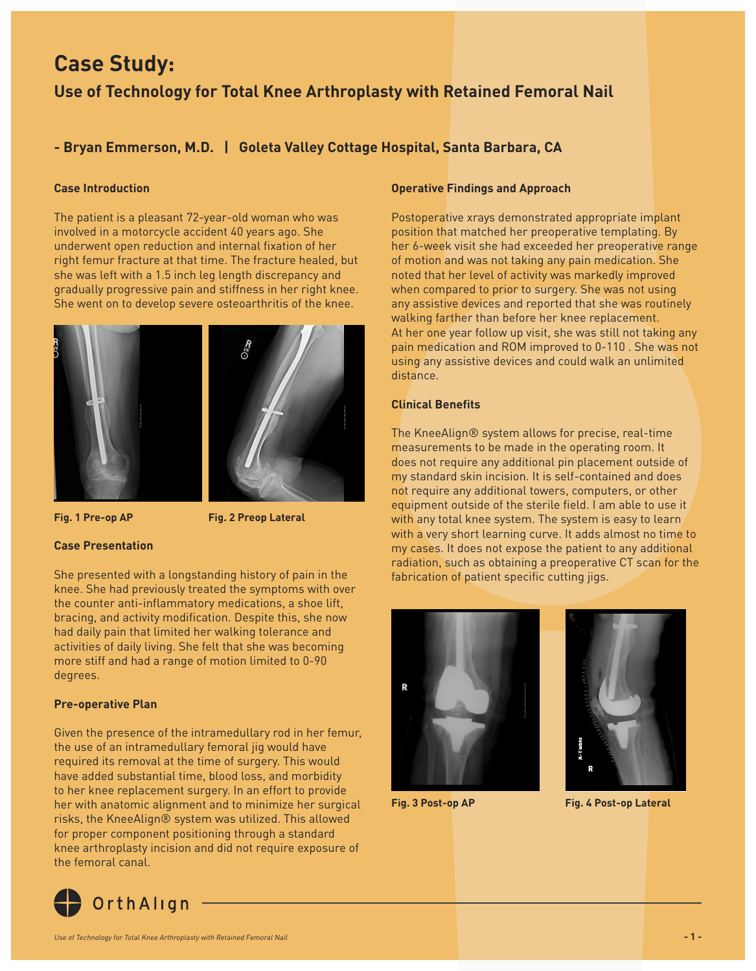# **Case Study: Use of Technology for Total Knee Arthroplasty with Retained Femoral Nail**

# **- Bryan Emmerson, M.D. | Goleta Valley Cottage Hospital, Santa Barbara, CA**

#### **Case Introduction**

The patient is a pleasant 72-year-old woman who was involved in a motorcycle accident 40 years ago. She underwent open reduction and internal fixation of her right femur fracture at that time. The fracture healed, but she was left with a 1.5 inch leg length discrepancy and gradually progressive pain and stiffness in her right knee. She went on to develop severe osteoarthritis of the knee.







**Fig. 1 Pre-op AP Fig. 2 Preop Lateral** 

#### **Case Presentation**

She presented with a longstanding history of pain in the knee. She had previously treated the symptoms with over the counter anti-inflammatory medications, a shoe lift, bracing, and activity modification. Despite this, she now had daily pain that limited her walking tolerance and activities of daily living. She felt that she was becoming more stiff and had a range of motion limited to 0-90 degrees.

#### **Pre-operative Plan**

Given the presence of the intramedullary rod in her femur, the use of an intramedullary femoral jig would have required its removal at the time of surgery. This would have added substantial time, blood loss, and morbidity to her knee replacement surgery. In an effort to provide her with anatomic alignment and to minimize her surgical risks, the KneeAlign® system was utilized. This allowed for proper component positioning through a standard knee arthroplasty incision and did not require exposure of the femoral canal.

### **Operative Findings and Approach**

Postoperative xrays demonstrated appropriate implant position that matched her preoperative templating. By her 6-week visit she had exceeded her preoperative range of motion and was not taking any pain medication. She noted that her level of activity was markedly improved when compared to prior to surgery. She was not using any assistive devices and reported that she was routinely walking farther than before her knee replacement. At her one year follow up visit, she was still not taking any pain medication and ROM improved to 0-110 . She was not using any assistive devices and could walk an unlimited distance.

# **Clinical Benefits**

The KneeAlign® system allows for precise, real-time measurements to be made in the operating room. It does not require any additional pin placement outside of my standard skin incision. It is self-contained and does not require any additional towers, computers, or other equipment outside of the sterile field. I am able to use it with any total knee system. The system is easy to learn with a very short learning curve. It adds almost no time to my cases. It does not expose the patient to any additional radiation, such as obtaining a preoperative CT scan for the fabrication of patient specific cutting jigs.





**Fig. 3 Post-op AP Fig. 4 Post-op Lateral**